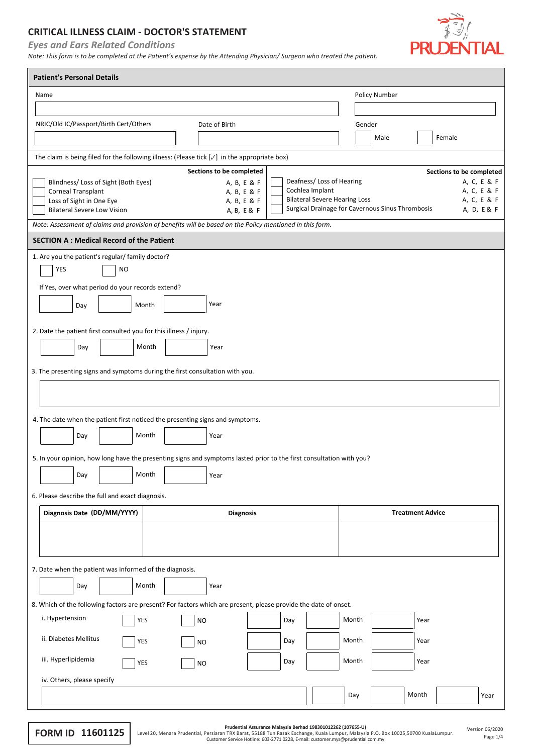## **CRITICAL ILLNESS CLAIM - DOCTOR'S STATEMENT**

*Eyes and Ears Related Conditions*

*Note: This form is to be completed at the Patient's expense by the Attending Physician/ Surgeon who treated the patient.*



| <b>Patient's Personal Details</b>                                                                                    |                                               |                                                                 |
|----------------------------------------------------------------------------------------------------------------------|-----------------------------------------------|-----------------------------------------------------------------|
| Name                                                                                                                 |                                               | <b>Policy Number</b>                                            |
|                                                                                                                      |                                               |                                                                 |
| NRIC/Old IC/Passport/Birth Cert/Others                                                                               | Date of Birth                                 | Gender                                                          |
|                                                                                                                      |                                               | Female<br>Male                                                  |
| The claim is being filed for the following illness: (Please tick $[\sqrt{}]$ in the appropriate box)                 |                                               |                                                                 |
|                                                                                                                      | Sections to be completed                      | Sections to be completed                                        |
| Blindness/ Loss of Sight (Both Eyes)<br>Corneal Transplant                                                           | A, B, E & F<br>Cochlea Implant<br>A, B, E & F | Deafness/Loss of Hearing<br>A, C, E & F<br>A, C, E & F          |
| Loss of Sight in One Eye                                                                                             | A, B, E & F                                   | <b>Bilateral Severe Hearing Loss</b><br>A, C, E & F             |
| <b>Bilateral Severe Low Vision</b>                                                                                   | A, B, E & F                                   | Surgical Drainage for Cavernous Sinus Thrombosis<br>A, D, E & F |
| Note: Assessment of claims and provision of benefits will be based on the Policy mentioned in this form.             |                                               |                                                                 |
| <b>SECTION A: Medical Record of the Patient</b>                                                                      |                                               |                                                                 |
| 1. Are you the patient's regular/ family doctor?                                                                     |                                               |                                                                 |
| YES<br><b>NO</b>                                                                                                     |                                               |                                                                 |
| If Yes, over what period do your records extend?                                                                     |                                               |                                                                 |
| Month<br>Day                                                                                                         | Year                                          |                                                                 |
|                                                                                                                      |                                               |                                                                 |
| 2. Date the patient first consulted you for this illness / injury.                                                   |                                               |                                                                 |
| Month<br>Day                                                                                                         | Year                                          |                                                                 |
| 3. The presenting signs and symptoms during the first consultation with you.                                         |                                               |                                                                 |
|                                                                                                                      |                                               |                                                                 |
|                                                                                                                      |                                               |                                                                 |
| 4. The date when the patient first noticed the presenting signs and symptoms.                                        |                                               |                                                                 |
| Month<br>Day                                                                                                         | Year                                          |                                                                 |
|                                                                                                                      |                                               |                                                                 |
| 5. In your opinion, how long have the presenting signs and symptoms lasted prior to the first consultation with you? |                                               |                                                                 |
| Month<br>Day                                                                                                         | Year                                          |                                                                 |
| 6. Please describe the full and exact diagnosis.                                                                     |                                               |                                                                 |
| Diagnosis Date (DD/MM/YYYY)                                                                                          | <b>Diagnosis</b>                              | <b>Treatment Advice</b>                                         |
|                                                                                                                      |                                               |                                                                 |
|                                                                                                                      |                                               |                                                                 |
|                                                                                                                      |                                               |                                                                 |
| 7. Date when the patient was informed of the diagnosis.                                                              |                                               |                                                                 |
| Month<br>Day                                                                                                         | Year                                          |                                                                 |
| 8. Which of the following factors are present? For factors which are present, please provide the date of onset.      |                                               |                                                                 |
| i. Hypertension<br><b>YES</b>                                                                                        | <b>NO</b><br>Day                              | Month<br>Year                                                   |
|                                                                                                                      |                                               |                                                                 |
| ii. Diabetes Mellitus<br>YES                                                                                         | Day<br><b>NO</b>                              | Month<br>Year                                                   |
| iii. Hyperlipidemia<br>YES                                                                                           | Day<br><b>NO</b>                              | Month<br>Year                                                   |
| iv. Others, please specify                                                                                           |                                               |                                                                 |
|                                                                                                                      |                                               | Month<br>Day<br>Year                                            |
|                                                                                                                      |                                               |                                                                 |

Prudential Assurance Malaysia Berhad 198301012262 (107655-U)<br>Custome TRX Barat, 55188 Tun Razak Exchan Lumpur, Malaysia P.O. Box 10025,50700 KualaLumpur. Version 06/2020<br>Page 1/4 Customer Service Hotline: 603-2771 0228, E-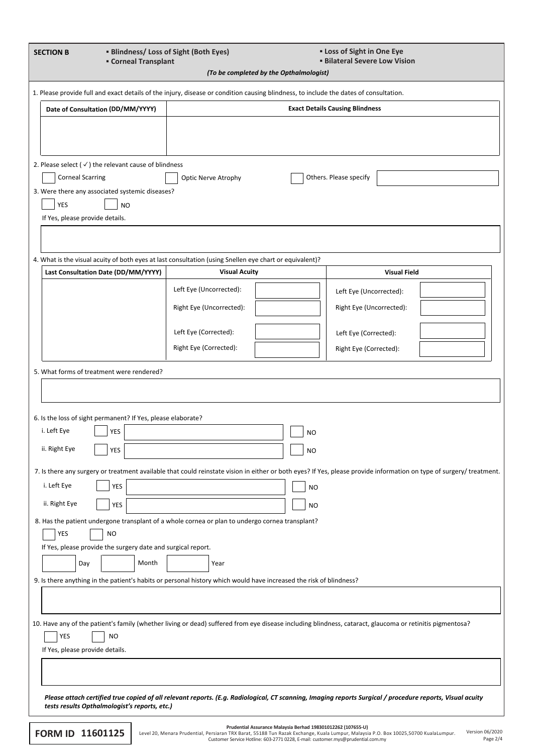| <b>SECTION B</b><br><b>Corneal Transplant</b>                                                                                         | <b>■ Blindness/ Loss of Sight (Both Eyes)</b> | <b>ELOSS of Sight in One Eye</b><br><b>Bilateral Severe Low Vision</b>                                                                                               |
|---------------------------------------------------------------------------------------------------------------------------------------|-----------------------------------------------|----------------------------------------------------------------------------------------------------------------------------------------------------------------------|
|                                                                                                                                       | (To be completed by the Opthalmologist)       |                                                                                                                                                                      |
| 1. Please provide full and exact details of the injury, disease or condition causing blindness, to include the dates of consultation. |                                               |                                                                                                                                                                      |
| Date of Consultation (DD/MM/YYYY)                                                                                                     |                                               | <b>Exact Details Causing Blindness</b>                                                                                                                               |
|                                                                                                                                       |                                               |                                                                                                                                                                      |
|                                                                                                                                       |                                               |                                                                                                                                                                      |
| 2. Please select ( $\checkmark$ ) the relevant cause of blindness                                                                     |                                               |                                                                                                                                                                      |
| <b>Corneal Scarring</b>                                                                                                               | <b>Optic Nerve Atrophy</b>                    | Others. Please specify                                                                                                                                               |
| 3. Were there any associated systemic diseases?                                                                                       |                                               |                                                                                                                                                                      |
| <b>YES</b><br><b>NO</b>                                                                                                               |                                               |                                                                                                                                                                      |
| If Yes, please provide details.                                                                                                       |                                               |                                                                                                                                                                      |
|                                                                                                                                       |                                               |                                                                                                                                                                      |
| 4. What is the visual acuity of both eyes at last consultation (using Snellen eye chart or equivalent)?                               |                                               |                                                                                                                                                                      |
| Last Consultation Date (DD/MM/YYYY)                                                                                                   | <b>Visual Acuity</b>                          | <b>Visual Field</b>                                                                                                                                                  |
|                                                                                                                                       | Left Eye (Uncorrected):                       | Left Eye (Uncorrected):                                                                                                                                              |
|                                                                                                                                       | Right Eye (Uncorrected):                      | Right Eye (Uncorrected):                                                                                                                                             |
|                                                                                                                                       | Left Eye (Corrected):                         | Left Eye (Corrected):                                                                                                                                                |
|                                                                                                                                       | Right Eye (Corrected):                        | Right Eye (Corrected):                                                                                                                                               |
|                                                                                                                                       |                                               |                                                                                                                                                                      |
| 5. What forms of treatment were rendered?                                                                                             |                                               |                                                                                                                                                                      |
|                                                                                                                                       |                                               |                                                                                                                                                                      |
| 6. Is the loss of sight permanent? If Yes, please elaborate?                                                                          |                                               |                                                                                                                                                                      |
| i. Left Eye<br>YES                                                                                                                    |                                               | <b>NO</b>                                                                                                                                                            |
| ii. Right Eye<br>YES                                                                                                                  |                                               | <b>NO</b>                                                                                                                                                            |
|                                                                                                                                       |                                               | 7. Is there any surgery or treatment available that could reinstate vision in either or both eyes? If Yes, please provide information on type of surgery/ treatment. |
| i. Left Eye<br><b>YES</b>                                                                                                             |                                               | <b>NO</b>                                                                                                                                                            |
| ii. Right Eye<br><b>YES</b>                                                                                                           |                                               | <b>NO</b>                                                                                                                                                            |
| 8. Has the patient undergone transplant of a whole cornea or plan to undergo cornea transplant?                                       |                                               |                                                                                                                                                                      |
| YES<br><b>NO</b>                                                                                                                      |                                               |                                                                                                                                                                      |
| If Yes, please provide the surgery date and surgical report.                                                                          |                                               |                                                                                                                                                                      |
| Month<br>Day                                                                                                                          | Year                                          |                                                                                                                                                                      |
| 9. Is there anything in the patient's habits or personal history which would have increased the risk of blindness?                    |                                               |                                                                                                                                                                      |
|                                                                                                                                       |                                               |                                                                                                                                                                      |
|                                                                                                                                       |                                               | 10. Have any of the patient's family (whether living or dead) suffered from eye disease including blindness, cataract, glaucoma or retinitis pigmentosa?             |
| YES<br>NO                                                                                                                             |                                               |                                                                                                                                                                      |
| If Yes, please provide details.                                                                                                       |                                               |                                                                                                                                                                      |
|                                                                                                                                       |                                               |                                                                                                                                                                      |
|                                                                                                                                       |                                               |                                                                                                                                                                      |
| tests results Opthalmologist's reports, etc.)                                                                                         |                                               | Please attach certified true copied of all relevant reports. (E.g. Radiological, CT scanning, Imaging reports Surgical / procedure reports, Visual acuity            |
|                                                                                                                                       |                                               | Prudential Assurance Malaysia Berhad 198301012262 (107655-U)                                                                                                         |

EORM ID 11601125 Level 20, Menara Prudential, Persiaran TRX Barat, 55188 Tun Razak Exchange, Kuala Lumpur, Malaysia P.O. Box 10025,50700 KualaLumpur. Version 06/2020 Pru**dential Assurance Malaysia Berhad 198301012262 (107655-U)**<br>Level 20, Menara Prudential, Persiaran TRX Barat, 55188 Tun Razak Exchange, Kuala Lumpur, Malagysia P.O. Box 10025,50700 KualaLumpur.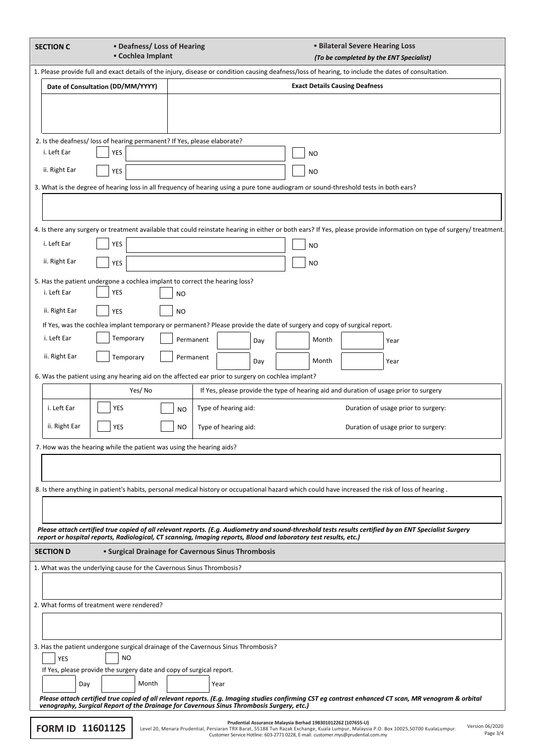| <b>SECTION C</b>        | <b>• Deafness/ Loss of Hearing</b><br><b>E</b> Cochlea Implant                                                                                       |           |           |                      |     |                                                              |           | <b>Bilateral Severe Hearing Loss</b>  | (To be completed by the ENT Specialist)                                                                                                                              |                 |
|-------------------------|------------------------------------------------------------------------------------------------------------------------------------------------------|-----------|-----------|----------------------|-----|--------------------------------------------------------------|-----------|---------------------------------------|----------------------------------------------------------------------------------------------------------------------------------------------------------------------|-----------------|
|                         | 1. Please provide full and exact details of the injury, disease or condition causing deafness/loss of hearing, to include the dates of consultation. |           |           |                      |     |                                                              |           |                                       |                                                                                                                                                                      |                 |
|                         | Date of Consultation (DD/MM/YYYY)                                                                                                                    |           |           |                      |     |                                                              |           | <b>Exact Details Causing Deafness</b> |                                                                                                                                                                      |                 |
|                         |                                                                                                                                                      |           |           |                      |     |                                                              |           |                                       |                                                                                                                                                                      |                 |
|                         |                                                                                                                                                      |           |           |                      |     |                                                              |           |                                       |                                                                                                                                                                      |                 |
|                         | 2. Is the deafness/ loss of hearing permanent? If Yes, please elaborate?                                                                             |           |           |                      |     |                                                              |           |                                       |                                                                                                                                                                      |                 |
| i. Left Ear             | YES                                                                                                                                                  |           |           |                      |     |                                                              | <b>NO</b> |                                       |                                                                                                                                                                      |                 |
| ii. Right Ear           | <b>YES</b>                                                                                                                                           |           |           |                      |     |                                                              | <b>NO</b> |                                       |                                                                                                                                                                      |                 |
|                         | 3. What is the degree of hearing loss in all frequency of hearing using a pure tone audiogram or sound-threshold tests in both ears?                 |           |           |                      |     |                                                              |           |                                       |                                                                                                                                                                      |                 |
|                         |                                                                                                                                                      |           |           |                      |     |                                                              |           |                                       |                                                                                                                                                                      |                 |
|                         |                                                                                                                                                      |           |           |                      |     |                                                              |           |                                       | 4. Is there any surgery or treatment available that could reinstate hearing in either or both ears? If Yes, please provide information on type of surgery/ treatment |                 |
| i. Left Ear             | YES                                                                                                                                                  |           |           |                      |     |                                                              | <b>NO</b> |                                       |                                                                                                                                                                      |                 |
| ii. Right Ear           | <b>YES</b>                                                                                                                                           |           |           |                      |     |                                                              | <b>NO</b> |                                       |                                                                                                                                                                      |                 |
|                         | 5. Has the patient undergone a cochlea implant to correct the hearing loss?                                                                          |           |           |                      |     |                                                              |           |                                       |                                                                                                                                                                      |                 |
| i. Left Ear             | YES                                                                                                                                                  | <b>NO</b> |           |                      |     |                                                              |           |                                       |                                                                                                                                                                      |                 |
| ii. Right Ear           | <b>YES</b>                                                                                                                                           | NO        |           |                      |     |                                                              |           |                                       |                                                                                                                                                                      |                 |
|                         | If Yes, was the cochlea implant temporary or permanent? Please provide the date of surgery and copy of surgical report.                              |           |           |                      |     |                                                              |           |                                       |                                                                                                                                                                      |                 |
| i. Left Ear             | Temporary                                                                                                                                            |           | Permanent |                      | Day |                                                              | Month     |                                       | Year                                                                                                                                                                 |                 |
| ii. Right Ear           | Temporary                                                                                                                                            |           | Permanent |                      | Day |                                                              | Month     |                                       | Year                                                                                                                                                                 |                 |
|                         | 6. Was the patient using any hearing aid on the affected ear prior to surgery on cochlea implant?                                                    |           |           |                      |     |                                                              |           |                                       |                                                                                                                                                                      |                 |
|                         | Yes/No                                                                                                                                               |           |           |                      |     |                                                              |           |                                       | If Yes, please provide the type of hearing aid and duration of usage prior to surgery                                                                                |                 |
| i. Left Ear             | YES                                                                                                                                                  | NO        |           | Type of hearing aid: |     |                                                              |           |                                       | Duration of usage prior to surgery:                                                                                                                                  |                 |
| ii. Right Ear           | YES                                                                                                                                                  | <b>NO</b> |           | Type of hearing aid: |     |                                                              |           |                                       | Duration of usage prior to surgery:                                                                                                                                  |                 |
|                         | 7. How was the hearing while the patient was using the hearing aids?                                                                                 |           |           |                      |     |                                                              |           |                                       |                                                                                                                                                                      |                 |
|                         |                                                                                                                                                      |           |           |                      |     |                                                              |           |                                       |                                                                                                                                                                      |                 |
|                         |                                                                                                                                                      |           |           |                      |     |                                                              |           |                                       |                                                                                                                                                                      |                 |
|                         | 8. Is there anything in patient's habits, personal medical history or occupational hazard which could have increased the risk of loss of hearing.    |           |           |                      |     |                                                              |           |                                       |                                                                                                                                                                      |                 |
|                         |                                                                                                                                                      |           |           |                      |     |                                                              |           |                                       |                                                                                                                                                                      |                 |
|                         |                                                                                                                                                      |           |           |                      |     |                                                              |           |                                       | Please attach certified true copied of all relevant reports. (E.g. Audiometry and sound-threshold tests results certified by an ENT Specialist Surgery               |                 |
|                         | report or hospital reports, Radiological, CT scanning, Imaging reports, Blood and laboratory test results, etc.)                                     |           |           |                      |     |                                                              |           |                                       |                                                                                                                                                                      |                 |
| <b>SECTION D</b>        | <b>- Surgical Drainage for Cavernous Sinus Thrombosis</b>                                                                                            |           |           |                      |     |                                                              |           |                                       |                                                                                                                                                                      |                 |
|                         | 1. What was the underlying cause for the Cavernous Sinus Thrombosis?                                                                                 |           |           |                      |     |                                                              |           |                                       |                                                                                                                                                                      |                 |
|                         |                                                                                                                                                      |           |           |                      |     |                                                              |           |                                       |                                                                                                                                                                      |                 |
|                         | 2. What forms of treatment were rendered?                                                                                                            |           |           |                      |     |                                                              |           |                                       |                                                                                                                                                                      |                 |
|                         |                                                                                                                                                      |           |           |                      |     |                                                              |           |                                       |                                                                                                                                                                      |                 |
|                         | 3. Has the patient undergone surgical drainage of the Cavernous Sinus Thrombosis?                                                                    |           |           |                      |     |                                                              |           |                                       |                                                                                                                                                                      |                 |
| <b>YES</b>              | <b>NO</b>                                                                                                                                            |           |           |                      |     |                                                              |           |                                       |                                                                                                                                                                      |                 |
|                         | If Yes, please provide the surgery date and copy of surgical report.<br>Month                                                                        |           |           |                      |     |                                                              |           |                                       |                                                                                                                                                                      |                 |
| Day                     |                                                                                                                                                      |           |           | Year                 |     |                                                              |           |                                       | Please attach certified true copied of all relevant reports. (E.g. Imaging studies confirming CST eg contrast enhanced CT scan, MR venogram & orbital                |                 |
|                         | venography, Surgical Report of the Drainage for Cavernous Sinus Thrombosis Surgery, etc.)                                                            |           |           |                      |     |                                                              |           |                                       |                                                                                                                                                                      |                 |
| <b>EORM ID 11601125</b> |                                                                                                                                                      |           |           |                      |     | Prudential Assurance Malaysia Berhad 198301012262 (107655-U) |           |                                       |                                                                                                                                                                      | Version 06/2020 |

Prudential Assurance Malaysia Berhad 198301012262 (107655-U)<br>Custom TRX Barat, 55188 Tun Razak Exchange, Kuala Lumpur, Malaysia Dem Razak Exchange, Kuala Lumpur, Malaysia Berhad 198301012262 (107655-U)<br>Customer Service Hot Page 3/4